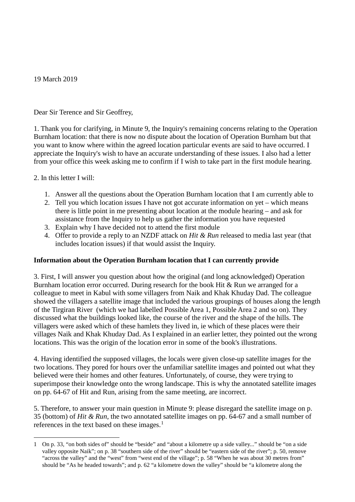19 March 2019

Dear Sir Terence and Sir Geoffrey,

1. Thank you for clarifying, in Minute 9, the Inquiry's remaining concerns relating to the Operation Burnham location: that there is now no dispute about the location of Operation Burnham but that you want to know where within the agreed location particular events are said to have occurred. I appreciate the Inquiry's wish to have an accurate understanding of these issues. I also had a letter from your office this week asking me to confirm if I wish to take part in the first module hearing.

2. In this letter I will:

- 1. Answer all the questions about the Operation Burnham location that I am currently able to
- 2. Tell you which location issues I have not got accurate information on yet which means there is little point in me presenting about location at the module hearing – and ask for assistance from the Inquiry to help us gather the information you have requested
- 3. Explain why I have decided not to attend the first module
- 4. Offer to provide a reply to an NZDF attack on *Hit & Run* released to media last year (that includes location issues) if that would assist the Inquiry.

## **Information about the Operation Burnham location that I can currently provide**

3. First, I will answer you question about how the original (and long acknowledged) Operation Burnham location error occurred. During research for the book Hit & Run we arranged for a colleague to meet in Kabul with some villagers from Naik and Khak Khuday Dad. The colleague showed the villagers a satellite image that included the various groupings of houses along the length of the Tirgiran River (which we had labelled Possible Area 1, Possible Area 2 and so on). They discussed what the buildings looked like, the course of the river and the shape of the hills. The villagers were asked which of these hamlets they lived in, ie which of these places were their villages Naik and Khak Khuday Dad. As I explained in an earlier letter, they pointed out the wrong locations. This was the origin of the location error in some of the book's illustrations.

4. Having identified the supposed villages, the locals were given close-up satellite images for the two locations. They pored for hours over the unfamiliar satellite images and pointed out what they believed were their homes and other features. Unfortunately, of course, they were trying to superimpose their knowledge onto the wrong landscape. This is why the annotated satellite images on pp. 64-67 of Hit and Run, arising from the same meeting, are incorrect.

5. Therefore, to answer your main question in Minute 9: please disregard the satellite image on p. 35 (bottom) of *Hit & Run*, the two annotated satellite images on pp. 64-67 and a small number of references in the text based on these images.<sup>[1](#page-0-0)</sup>

<span id="page-0-0"></span><sup>-</sup>1 On p. 33, "on both sides of" should be "beside" and "about a kilometre up a side valley..." should be "on a side valley opposite Naik"; on p. 38 "southern side of the river" should be "eastern side of the river"; p. 50, remove "across the valley" and the "west" from "west end of the village"; p. 58 "When he was about 30 metres from" should be "As he headed towards"; and p. 62 "a kilometre down the valley" should be "a kilometre along the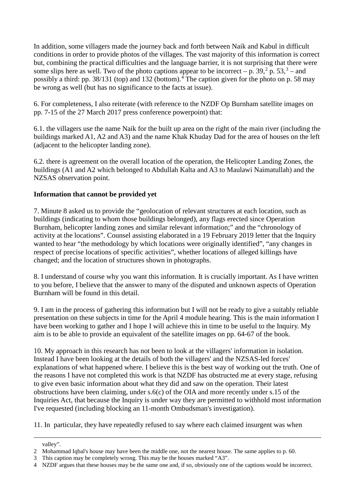In addition, some villagers made the journey back and forth between Naik and Kabul in difficult conditions in order to provide photos of the villages. The vast majority of this information is correct but, combining the practical difficulties and the language barrier, it is not surprising that there were some slips here as well. Two of the photo captions appear to be incorrect – p. [3](#page-1-1)9,  $2^{\circ}$  $2^{\circ}$  p. 53,  $3^{\circ}$  – and possibly a third: pp. 38/131 (top) and 132 (bottom).<sup>[4](#page-1-2)</sup> The caption given for the photo on p. 58 may be wrong as well (but has no significance to the facts at issue).

6. For completeness, I also reiterate (with reference to the NZDF Op Burnham satellite images on pp. 7-15 of the 27 March 2017 press conference powerpoint) that:

6.1. the villagers use the name Naik for the built up area on the right of the main river (including the buildings marked A1, A2 and A3) and the name Khak Khuday Dad for the area of houses on the left (adjacent to the helicopter landing zone).

6.2. there is agreement on the overall location of the operation, the Helicopter Landing Zones, the buildings (A1 and A2 which belonged to Abdullah Kalta and A3 to Maulawi Naimatullah) and the NZSAS observation point.

## **Information that cannot be provided yet**

7. Minute 8 asked us to provide the "geolocation of relevant structures at each location, such as buildings (indicating to whom those buildings belonged), any flags erected since Operation Burnham, helicopter landing zones and similar relevant information;" and the "chronology of activity at the locations". Counsel assisting elaborated in a 19 February 2019 letter that the Inquiry wanted to hear "the methodology by which locations were originally identified", "any changes in respect of precise locations of specific activities", whether locations of alleged killings have changed; and the location of structures shown in photographs.

8. I understand of course why you want this information. It is crucially important. As I have written to you before, I believe that the answer to many of the disputed and unknown aspects of Operation Burnham will be found in this detail.

9. I am in the process of gathering this information but I will not be ready to give a suitably reliable presentation on these subjects in time for the April 4 module hearing. This is the main information I have been working to gather and I hope I will achieve this in time to be useful to the Inquiry. My aim is to be able to provide an equivalent of the satellite images on pp. 64-67 of the book.

10. My approach in this research has not been to look at the villagers' information in isolation. Instead I have been looking at the details of both the villagers' and the NZSAS-led forces' explanations of what happened where. I believe this is the best way of working out the truth. One of the reasons I have not completed this work is that NZDF has obstructed me at every stage, refusing to give even basic information about what they did and saw on the operation. Their latest obstructions have been claiming, under s.6(c) of the OIA and more recently under s.15 of the Inquiries Act, that because the Inquiry is under way they are permitted to withhold most information I've requested (including blocking an 11-month Ombudsman's investigation).

11. In particular, they have repeatedly refused to say where each claimed insurgent was when

-

valley".

<span id="page-1-0"></span><sup>2</sup> Mohammad Iqbal's house may have been the middle one, not the nearest house. The same applies to p. 60.

<span id="page-1-1"></span><sup>3</sup> This caption may be completely wrong. This may be the houses marked "A3".

<span id="page-1-2"></span><sup>4</sup> NZDF argues that these houses may be the same one and, if so, obviously one of the captions would be incorrect.